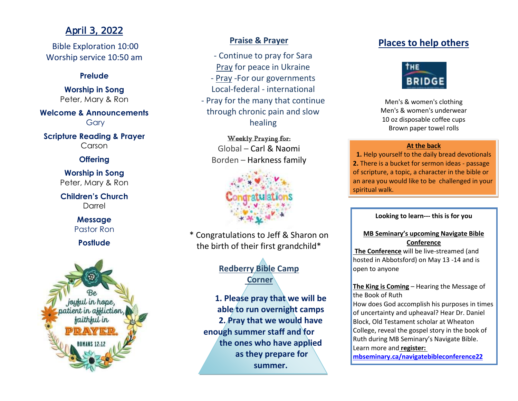# April 3, 2022

Bible Exploration 10:00 Worship service 10:50 am

## **Prelude**

**Worship in Song** Peter, Mary & Ron

**Welcome & Announcements** Gary

**Scripture Reading & Prayer** Carson

## **Offering**

**Worship in Song** Peter, Mary & Ron

**Children's Church** Darrel

## **Message** Pastor Ron

# **Postlude**



# **Praise & Prayer**

- Continue to pray for Sara Pray for peace in Ukraine - Pray -For our governments Local-federal - international - Pray for the many that continue through chronic pain and slow healing

# Weekly Praying for: Global – Carl & Naomi Borden – Harkness family



\* Congratulations to Jeff & Sharon on the birth of their first grandchild\*

# **Redberry Bible Camp Corner**

**1. Please pray that we will be able to run overnight camps 2. Pray that we would have enough summer staff and for the ones who have applied as they prepare for summer.**

# **Places to help others**



Men's & women's clothing Men's & women's underwear 10 oz disposable coffee cups Brown paper towel rolls

## **At the back**

**1.** Help yourself to the daily bread devotionals **2.** There is a bucket for sermon ideas - passage of scripture, a topic, a character in the bible or an area you would like to be challenged in your spiritual walk.

**Looking to learn--- this is for you**

## **MB Seminary's upcoming Navigate Bible Conference**

**The Conference** will be live-streamed (and hosted in Abbotsford) on May 13 -14 and is open to anyone

**The King is Coming** – Hearing the Message of the Book of Ruth

How does God accomplish his purposes in times of uncertainty and upheaval? Hear Dr. Daniel Block, Old Testament scholar at Wheaton College, reveal the gospel story in the book of Ruth during MB Seminary's Navigate Bible. Learn more and **register:**

**[mbseminary.ca/navigatebibleconference22](https://www.mbseminary.ca/navigatebibleconference22/)**